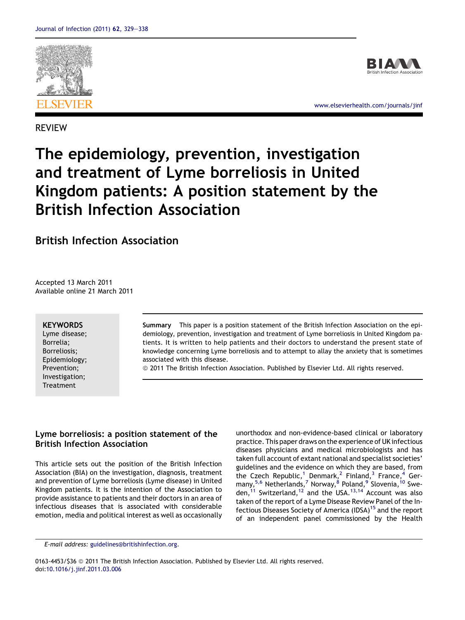



[www.elsevierhealth.com/journals/jinf](http://www.elsevierhealth.com/journals/jinf)

# REVIEW

# The epidemiology, prevention, investigation and treatment of Lyme borreliosis in United Kingdom patients: A position statement by the British Infection Association

British Infection Association

Accepted 13 March 2011 Available online 21 March 2011

## **KEYWORDS**

Lyme disease; Borrelia; Borreliosis; Epidemiology; Prevention; Investigation; **Treatment** 

Summary This paper is a position statement of the British Infection Association on the epidemiology, prevention, investigation and treatment of Lyme borreliosis in United Kingdom patients. It is written to help patients and their doctors to understand the present state of knowledge concerning Lyme borreliosis and to attempt to allay the anxiety that is sometimes associated with this disease.

ª 2011 The British Infection Association. Published by Elsevier Ltd. All rights reserved.

# Lyme borreliosis: a position statement of the British Infection Association

This article sets out the position of the British Infection Association (BIA) on the investigation, diagnosis, treatment and prevention of Lyme borreliosis (Lyme disease) in United Kingdom patients. It is the intention of the Association to provide assistance to patients and their doctors in an area of infectious diseases that is associated with considerable emotion, media and political interest as well as occasionally unorthodox and non-evidence-based clinical or laboratory practice. This paper draws on the experience of UK infectious diseases physicians and medical microbiologists and has taken full account of extant national and specialist societies' guidelines and the evidence on which they are based, from the Czech Republic,<sup>[1](#page-8-0)</sup> Denmark,<sup>[2](#page-8-0)</sup> Finland,<sup>[3](#page-8-0)</sup> France,<sup>4</sup> Ger-many,<sup>[5,6](#page-9-0)</sup> Netherlands,<sup>[7](#page-9-0)</sup> Norway,<sup>8</sup> Poland,<sup>[9](#page-9-0)</sup> Slovenia,<sup>[10](#page-9-0)</sup> Swe-den,<sup>[11](#page-9-0)</sup> Switzerland,<sup>[12](#page-9-0)</sup> and the USA.<sup>[13,14](#page-9-0)</sup> Account was also taken of the report of a Lyme Disease Review Panel of the In-fectious Diseases Society of America (IDSA)<sup>[15](#page-9-0)</sup> and the report of an independent panel commissioned by the Health

E-mail address: [guidelines@britishinfection.org.](mailto:guidelines@britishinfection.org)

<sup>0163-4453/\$36 @ 2011</sup> The British Infection Association. Published by Elsevier Ltd. All rights reserved. doi[:10.1016/j.jinf.2011.03.006](http://dx.doi.org/10.1016/j.jinf.2011.03.006)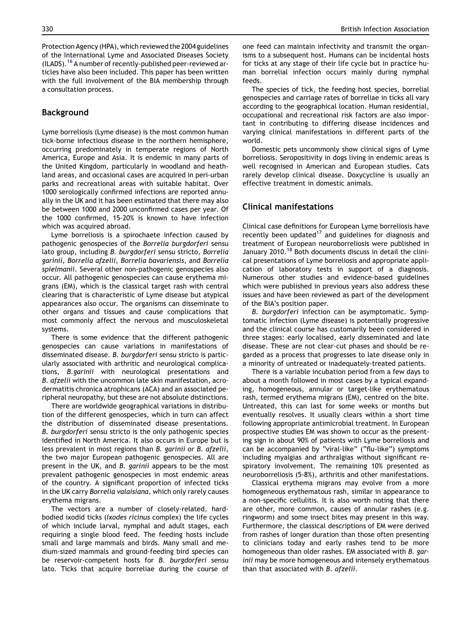of the International Lyme and Associated Diseases Society  $(ILADS).<sup>16</sup>$  $(ILADS).<sup>16</sup>$  $(ILADS).<sup>16</sup>$  A number of recently-published peer-reviewed articles have also been included. This paper has been written with the full involvement of the BIA membership through a consultation process.

# Background

Lyme borreliosis (Lyme disease) is the most common human tick-borne infectious disease in the northern hemisphere, occurring predominately in temperate regions of North America, Europe and Asia. It is endemic in many parts of the United Kingdom, particularly in woodland and heathland areas, and occasional cases are acquired in peri-urban parks and recreational areas with suitable habitat. Over 1000 serologically confirmed infections are reported annually in the UK and it has been estimated that there may also be between 1000 and 2000 unconfirmed cases per year. Of the 1000 confirmed, 15-20% is known to have infection which was acquired abroad.

Lyme borreliosis is a spirochaete infection caused by pathogenic genospecies of the Borrelia burgdorferi sensu lato group, including B. burgdorferi sensu stricto, Borrelia garinii, Borrelia afzelii, Borrelia bavariensis, and Borrelia spielmanii. Several other non-pathogenic genospecies also occur. All pathogenic genospecies can cause erythema migrans (EM), which is the classical target rash with central clearing that is characteristic of Lyme disease but atypical appearances also occur. The organisms can disseminate to other organs and tissues and cause complications that most commonly affect the nervous and musculoskeletal systems.

There is some evidence that the different pathogenic genospecies can cause variations in manifestations of disseminated disease. B. burgdorferi sensu stricto is particularly associated with arthritic and neurological complications, B.garinii with neurological presentations and B. afzelii with the uncommon late skin manifestation, acrodermatitis chronica atrophicans (ACA) and an associated peripheral neuropathy, but these are not absolute distinctions.

There are worldwide geographical variations in distribution of the different genospecies, which in turn can affect the distribution of disseminated disease presentations. B. burgdorferi sensu stricto is the only pathogenic species identified in North America. It also occurs in Europe but is less prevalent in most regions than B. garinii or B. afzelii, the two major European pathogenic genospecies. All are present in the UK, and B. garinii appears to be the most prevalent pathogenic genospecies in most endemic areas of the country. A significant proportion of infected ticks in the UK carry Borrelia valaisiana, which only rarely causes erythema migrans.

The vectors are a number of closely-related, hardbodied ixodid ticks (Ixodes ricinus complex) the life cycles of which include larval, nymphal and adult stages, each requiring a single blood feed. The feeding hosts include small and large mammals and birds. Many small and medium-sized mammals and ground-feeding bird species can be reservoir-competent hosts for B. burgdorferi sensu lato. Ticks that acquire borreliae during the course of one feed can maintain infectivity and transmit the organisms to a subsequent host. Humans can be incidental hosts for ticks at any stage of their life cycle but in practice human borrelial infection occurs mainly during nymphal feeds.

The species of tick, the feeding host species, borrelial genospecies and carriage rates of borreliae in ticks all vary according to the geographical location. Human residential, occupational and recreational risk factors are also important in contributing to differing disease incidences and varying clinical manifestations in different parts of the world.

Domestic pets uncommonly show clinical signs of Lyme borreliosis. Seropositivity in dogs living in endemic areas is well recognised in American and European studies. Cats rarely develop clinical disease. Doxycycline is usually an effective treatment in domestic animals.

# Clinical manifestations

Clinical case definitions for European Lyme borreliosis have recently been updated<sup>[17](#page-9-0)</sup> and guidelines for diagnosis and treatment of European neuroborreliosis were published in January 2010.<sup>[18](#page-9-0)</sup> Both documents discuss in detail the clinical presentations of Lyme borreliosis and appropriate application of laboratory tests in support of a diagnosis. Numerous other studies and evidence-based guidelines which were published in previous years also address these issues and have been reviewed as part of the development of the BIA's position paper.

B. burgdorferi infection can be asymptomatic. Symptomatic infection (Lyme disease) is potentially progressive and the clinical course has customarily been considered in three stages: early localised, early disseminated and late disease. These are not clear-cut phases and should be regarded as a process that progresses to late disease only in a minority of untreated or inadequately-treated patients.

There is a variable incubation period from a few days to about a month followed in most cases by a typical expanding, homogeneous, annular or target-like erythematous rash, termed erythema migrans (EM), centred on the bite. Untreated, this can last for some weeks or months but eventually resolves. It usually clears within a short time following appropriate antimicrobial treatment. In European prospective studies EM was shown to occur as the presenting sign in about 90% of patients with Lyme borreliosis and can be accompanied by "viral-like" ("flu-like") symptoms including myalgias and arthralgias without significant respiratory involvement. The remaining 10% presented as neuroborreliosis (5-8%), arthritis and other manifestations.

Classical erythema migrans may evolve from a more homogeneous erythematous rash, similar in appearance to a non-specific cellulitis. It is also worth noting that there are other, more common, causes of annular rashes (e.g. ringworm) and some insect bites may present in this way. Furthermore, the classical descriptions of EM were derived from rashes of longer duration than those often presenting to clinicians today and early rashes tend to be more homogeneous than older rashes. EM associated with B. garinii may be more homogeneous and intensely erythematous than that associated with B. afzelii.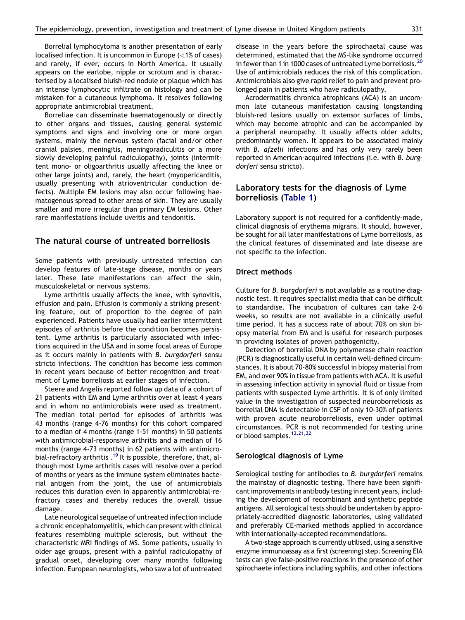Borrelial lymphocytoma is another presentation of early localised infection. It is uncommon in Europe (<1% of cases) and rarely, if ever, occurs in North America. It usually appears on the earlobe, nipple or scrotum and is characterised by a localised bluish-red nodule or plaque which has an intense lymphocytic infiltrate on histology and can be mistaken for a cutaneous lymphoma. It resolves following appropriate antimicrobial treatment.

Borreliae can disseminate haematogenously or directly to other organs and tissues, causing general systemic symptoms and signs and involving one or more organ systems, mainly the nervous system (facial and/or other cranial palsies, meningitis, meningoradiculitis or a more slowly developing painful radiculopathy), joints (intermittent mono- or oligoarthritis usually affecting the knee or other large joints) and, rarely, the heart (myopericarditis, usually presenting with atrioventricular conduction defects). Multiple EM lesions may also occur following haematogenous spread to other areas of skin. They are usually smaller and more irregular than primary EM lesions. Other rare manifestations include uveitis and tendonitis.

# The natural course of untreated borreliosis

Some patients with previously untreated infection can develop features of late-stage disease, months or years later. These late manifestations can affect the skin, musculoskeletal or nervous systems.

Lyme arthritis usually affects the knee, with synovitis, effusion and pain. Effusion is commonly a striking presenting feature, out of proportion to the degree of pain experienced. Patients have usually had earlier intermittent episodes of arthritis before the condition becomes persistent. Lyme arthritis is particularly associated with infections acquired in the USA and in some focal areas of Europe as it occurs mainly in patients with B. burgdorferi sensu stricto infections. The condition has become less common in recent years because of better recognition and treatment of Lyme borreliosis at earlier stages of infection.

Steere and Angelis reported follow up data of a cohort of 21 patients with EM and Lyme arthritis over at least 4 years and in whom no antimicrobials were used as treatment. The median total period for episodes of arthritis was 43 months (range 4-76 months) for this cohort compared to a median of 4 months (range 1-51 months) in 50 patients with antimicrobial-responsive arthritis and a median of 16 months (range 4-73 months) in 62 patients with antimicro-bial-refractory arthritis .<sup>[19](#page-9-0)</sup> It is possible, therefore, that, although most Lyme arthritis cases will resolve over a period of months or years as the immune system eliminates bacterial antigen from the joint, the use of antimicrobials reduces this duration even in apparently antimicrobial-refractory cases and thereby reduces the overall tissue damage.

Late neurological sequelae of untreated infection include a chronic encephalomyelitis, which can present with clinical features resembling multiple sclerosis, but without the characteristic MRI findings of MS. Some patients, usually in older age groups, present with a painful radiculopathy of gradual onset, developing over many months following infection. European neurologists, who saw a lot of untreated disease in the years before the spirochaetal cause was determined, estimated that the MS-like syndrome occurred in fewer than 1 in 1000 cases of untreated Lyme borreliosis.<sup>[20](#page-9-0)</sup> Use of antimicrobials reduces the risk of this complication. Antimicrobials also give rapid relief to pain and prevent prolonged pain in patients who have radiculopathy.

Acrodermatitis chronica atrophicans (ACA) is an uncommon late cutaneous manifestation causing longstanding bluish-red lesions usually on extensor surfaces of limbs, which may become atrophic and can be accompanied by a peripheral neuropathy. It usually affects older adults, predominantly women. It appears to be associated mainly with B. afzelii infections and has only very rarely been reported in American-acquired infections (i.e. with B. burgdorferi sensu stricto).

# Laboratory tests for the diagnosis of Lyme borreliosis ([Table 1\)](#page-3-0)

Laboratory support is not required for a confidently-made, clinical diagnosis of erythema migrans. It should, however, be sought for all later manifestations of Lyme borreliosis, as the clinical features of disseminated and late disease are not specific to the infection.

#### Direct methods

Culture for B. burgdorferi is not available as a routine diagnostic test. It requires specialist media that can be difficult to standardise. The incubation of cultures can take 2-6 weeks, so results are not available in a clinically useful time period. It has a success rate of about 70% on skin biopsy material from EM and is useful for research purposes in providing isolates of proven pathogenicity.

Detection of borrelial DNA by polymerase chain reaction (PCR) is diagnostically useful in certain well-defined circumstances. It is about 70-80% successful in biopsy material from EM, and over 90% in tissue from patients with ACA. It is useful in assessing infection activity in synovial fluid or tissue from patients with suspected Lyme arthritis. It is of only limited value in the investigation of suspected neuroborreliosis as borrelial DNA is detectable in CSF of only 10-30% of patients with proven acute neuroborreliosis, even under optimal circumstances. PCR is not recommended for testing urine or blood samples.<sup>[12,21,22](#page-9-0)</sup>

#### Serological diagnosis of Lyme

Serological testing for antibodies to B. burgdorferi remains the mainstay of diagnostic testing. There have been significant improvements in antibody testing in recent years, including the development of recombinant and synthetic peptide antigens. All serological tests should be undertaken by appropriately-accredited diagnostic laboratories, using validated and preferably CE-marked methods applied in accordance with internationally-accepted recommendations.

A two-stage approach is currently utilised, using a sensitive enzyme immunoassay as a first (screening) step. Screening EIA tests can give false-positive reactions in the presence of other spirochaete infections including syphilis, and other infections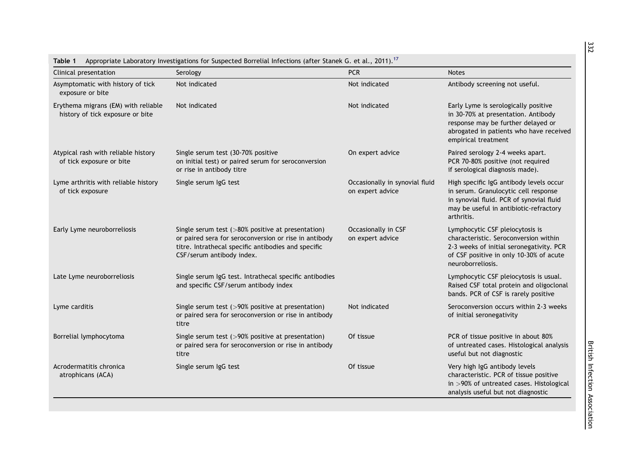<span id="page-3-0"></span>

| Clinical presentation                                                   | Serology                                                                                                                                                                                          | <b>PCR</b>                                         | <b>Notes</b>                                                                                                                                                                         |
|-------------------------------------------------------------------------|---------------------------------------------------------------------------------------------------------------------------------------------------------------------------------------------------|----------------------------------------------------|--------------------------------------------------------------------------------------------------------------------------------------------------------------------------------------|
| Asymptomatic with history of tick<br>exposure or bite                   | Not indicated                                                                                                                                                                                     | Not indicated                                      | Antibody screening not useful.                                                                                                                                                       |
| Erythema migrans (EM) with reliable<br>history of tick exposure or bite | Not indicated                                                                                                                                                                                     | Not indicated                                      | Early Lyme is serologically positive<br>in 30-70% at presentation. Antibody<br>response may be further delayed or<br>abrogated in patients who have received<br>empirical treatment  |
| Atypical rash with reliable history<br>of tick exposure or bite         | Single serum test (30-70% positive<br>on initial test) or paired serum for seroconversion<br>or rise in antibody titre                                                                            | On expert advice                                   | Paired serology 2-4 weeks apart.<br>PCR 70-80% positive (not required<br>if serological diagnosis made).                                                                             |
| Lyme arthritis with reliable history<br>of tick exposure                | Single serum IgG test                                                                                                                                                                             | Occasionally in synovial fluid<br>on expert advice | High specific IgG antibody levels occur<br>in serum. Granulocytic cell response<br>in synovial fluid. PCR of synovial fluid<br>may be useful in antibiotic-refractory<br>arthritis.  |
| Early Lyme neuroborreliosis                                             | Single serum test $($ >80% positive at presentation)<br>or paired sera for seroconversion or rise in antibody<br>titre. Intrathecal specific antibodies and specific<br>CSF/serum antibody index. | Occasionally in CSF<br>on expert advice            | Lymphocytic CSF pleiocytosis is<br>characteristic. Seroconversion within<br>2-3 weeks of initial seronegativity. PCR<br>of CSF positive in only 10-30% of acute<br>neuroborreliosis. |
| Late Lyme neuroborreliosis                                              | Single serum IgG test. Intrathecal specific antibodies<br>and specific CSF/serum antibody index                                                                                                   |                                                    | Lymphocytic CSF pleiocytosis is usual.<br>Raised CSF total protein and oligoclonal<br>bands. PCR of CSF is rarely positive                                                           |
| Lyme carditis                                                           | Single serum test (>90% positive at presentation)<br>or paired sera for seroconversion or rise in antibody<br>titre                                                                               | Not indicated                                      | Seroconversion occurs within 2-3 weeks<br>of initial seronegativity                                                                                                                  |
| Borrelial lymphocytoma                                                  | Single serum test (>90% positive at presentation)<br>or paired sera for seroconversion or rise in antibody<br>titre                                                                               | Of tissue                                          | PCR of tissue positive in about 80%<br>of untreated cases. Histological analysis<br>useful but not diagnostic                                                                        |
| Acrodermatitis chronica<br>atrophicans (ACA)                            | Single serum IgG test                                                                                                                                                                             | Of tissue                                          | Very high IgG antibody levels<br>characteristic. PCR of tissue positive<br>in >90% of untreated cases. Histological<br>analysis useful but not diagnostic                            |

|  |  |  |  |  | Table 1 Appropriate Laboratory Investigations for Suspected Borrelial Infections (after Stanek G. et al., 2011). <sup>17</sup> |
|--|--|--|--|--|--------------------------------------------------------------------------------------------------------------------------------|
|--|--|--|--|--|--------------------------------------------------------------------------------------------------------------------------------|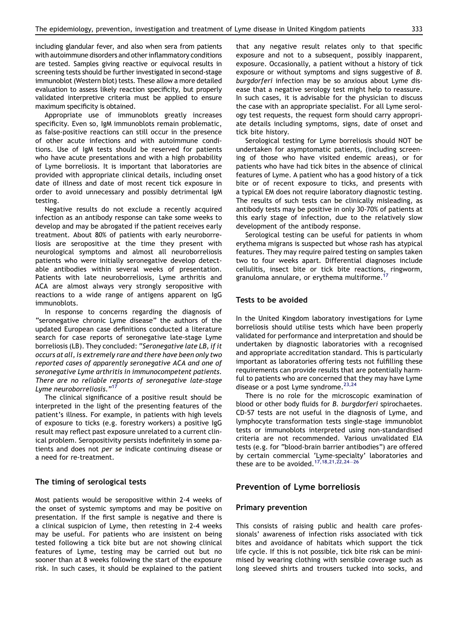including glandular fever, and also when sera from patients with autoimmune disorders and other inflammatory conditions are tested. Samples giving reactive or equivocal results in screening tests should be further investigated in second-stage immunoblot (Western blot) tests. These allow a more detailed evaluation to assess likely reaction specificity, but properly validated interpretive criteria must be applied to ensure maximum specificity is obtained.

Appropriate use of immunoblots greatly increases specificity. Even so, IgM immunoblots remain problematic, as false-positive reactions can still occur in the presence of other acute infections and with autoimmune conditions. Use of IgM tests should be reserved for patients who have acute presentations and with a high probability of Lyme borreliosis. It is important that laboratories are provided with appropriate clinical details, including onset date of illness and date of most recent tick exposure in order to avoid unnecessary and possibly detrimental IgM testing.

Negative results do not exclude a recently acquired infection as an antibody response can take some weeks to develop and may be abrogated if the patient receives early treatment. About 80% of patients with early neuroborreliosis are seropositive at the time they present with neurological symptoms and almost all neuroborreliosis patients who were initially seronegative develop detectable antibodies within several weeks of presentation. Patients with late neuroborreliosis, Lyme arthritis and ACA are almost always very strongly seropositive with reactions to a wide range of antigens apparent on IgG immunoblots.

In response to concerns regarding the diagnosis of "seronegative chronic Lyme disease" the authors of the updated European case definitions conducted a literature search for case reports of seronegative late-stage Lyme borreliosis (LB). They concluded: "Seronegative late LB, if it occurs at all, is extremely rare and there have been only two reported cases of apparently seronegative ACA and one of seronegative Lyme arthritis in immunocompetent patients. There are no reliable reports of seronegative late-stage Lyme neuroborreliosis."<sup>17</sup>

The clinical significance of a positive result should be interpreted in the light of the presenting features of the patient's illness. For example, in patients with high levels of exposure to ticks (e.g. forestry workers) a positive IgG result may reflect past exposure unrelated to a current clinical problem. Seropositivity persists indefinitely in some patients and does not per se indicate continuing disease or a need for re-treatment.

#### The timing of serological tests

Most patients would be seropositive within 2-4 weeks of the onset of systemic symptoms and may be positive on presentation. If the first sample is negative and there is a clinical suspicion of Lyme, then retesting in 2-4 weeks may be useful. For patients who are insistent on being tested following a tick bite but are not showing clinical features of Lyme, testing may be carried out but no sooner than at 8 weeks following the start of the exposure risk. In such cases, it should be explained to the patient

that any negative result relates only to that specific exposure and not to a subsequent, possibly inapparent, exposure. Occasionally, a patient without a history of tick exposure or without symptoms and signs suggestive of B. burgdorferi infection may be so anxious about Lyme disease that a negative serology test might help to reassure. In such cases, it is advisable for the physician to discuss the case with an appropriate specialist. For all Lyme serology test requests, the request form should carry appropriate details including symptoms, signs, date of onset and tick bite history.

Serological testing for Lyme borreliosis should NOT be undertaken for asymptomatic patients, (including screening of those who have visited endemic areas), or for patients who have had tick bites in the absence of clinical features of Lyme. A patient who has a good history of a tick bite or of recent exposure to ticks, and presents with a typical EM does not require laboratory diagnostic testing. The results of such tests can be clinically misleading, as antibody tests may be positive in only 30-70% of patients at this early stage of infection, due to the relatively slow development of the antibody response.

Serological testing can be useful for patients in whom erythema migrans is suspected but whose rash has atypical features. They may require paired testing on samples taken two to four weeks apart. Differential diagnoses include cellulitis, insect bite or tick bite reactions, ringworm, granuloma annulare, or erythema multiforme.<sup>1</sup>

#### Tests to be avoided

In the United Kingdom laboratory investigations for Lyme borreliosis should utilise tests which have been properly validated for performance and interpretation and should be undertaken by diagnostic laboratories with a recognised and appropriate accreditation standard. This is particularly important as laboratories offering tests not fulfilling these requirements can provide results that are potentially harmful to patients who are concerned that they may have Lyme disease or a post Lyme syndrome.  $23,24$ 

There is no role for the microscopic examination of blood or other body fluids for B. burgdorferi spirochaetes. CD-57 tests are not useful in the diagnosis of Lyme, and lymphocyte transformation tests single-stage immunoblot tests or immunoblots interpreted using non-standardised criteria are not recommended. Various unvalidated EIA tests (e.g. for "blood-brain barrier antibodies") are offered by certain commercial 'Lyme-specialty' laboratories and these are to be avoided.<sup>[17,18,21,22,24](#page-9-0)-[26](#page-9-0)</sup>

#### Prevention of Lyme borreliosis

#### Primary prevention

This consists of raising public and health care professionals' awareness of infection risks associated with tick bites and avoidance of habitats which support the tick life cycle. If this is not possible, tick bite risk can be minimised by wearing clothing with sensible coverage such as long sleeved shirts and trousers tucked into socks, and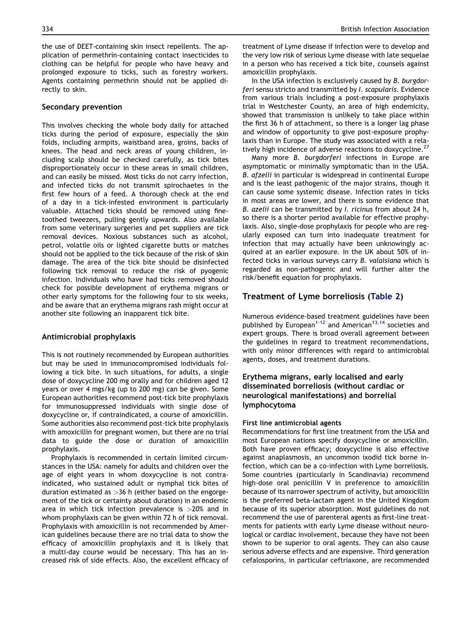the use of DEET-containing skin insect repellents. The application of permethrin-containing contact insecticides to clothing can be helpful for people who have heavy and prolonged exposure to ticks, such as forestry workers. Agents containing permethrin should not be applied directly to skin.

#### Secondary prevention

This involves checking the whole body daily for attached ticks during the period of exposure, especially the skin folds, including armpits, waistband area, groins, backs of knees. The head and neck areas of young children, including scalp should be checked carefully, as tick bites disproportionately occur in these areas in small children, and can easily be missed. Most ticks do not carry infection, and infected ticks do not transmit spirochaetes in the first few hours of a feed. A thorough check at the end of a day in a tick-infested environment is particularly valuable. Attached ticks should be removed using finetoothed tweezers, pulling gently upwards. Also available from some veterinary surgeries and pet suppliers are tick removal devices. Noxious substances such as alcohol, petrol, volatile oils or lighted cigarette butts or matches should not be applied to the tick because of the risk of skin damage. The area of the tick bite should be disinfected following tick removal to reduce the risk of pyogenic infection. Individuals who have had ticks removed should check for possible development of erythema migrans or other early symptoms for the following four to six weeks, and be aware that an erythema migrans rash might occur at another site following an inapparent tick bite.

#### Antimicrobial prophylaxis

This is not routinely recommended by European authorities but may be used in immunocompromised individuals following a tick bite. In such situations, for adults, a single dose of doxycycline 200 mg orally and for children aged 12 years or over 4 mgs/kg (up to 200 mg) can be given. Some European authorities recommend post-tick bite prophylaxis for immunosuppressed individuals with single dose of doxycycline or, if contraindicated, a course of amoxicillin. Some authorities also recommend post-tick bite prophylaxis with amoxicillin for pregnant women, but there are no trial data to guide the dose or duration of amoxicillin prophylaxis.

Prophylaxis is recommended in certain limited circumstances in the USA: namely for adults and children over the age of eight years in whom doxycycline is not contraindicated, who sustained adult or nymphal tick bites of duration estimated as  $>36$  h (either based on the engorgement of the tick or certainty about duration) in an endemic area in which tick infection prevalence is >20% and in whom prophylaxis can be given within 72 h of tick removal. Prophylaxis with amoxicillin is not recommended by American guidelines because there are no trial data to show the efficacy of amoxicillin prophylaxis and it is likely that a multi-day course would be necessary. This has an increased risk of side effects. Also, the excellent efficacy of treatment of Lyme disease if infection were to develop and the very low risk of serious Lyme disease with late sequelae in a person who has received a tick bite, counsels against amoxicillin prophylaxis.

In the USA infection is exclusively caused by B. burgdorferi sensu stricto and transmitted by *I. scapularis*. Evidence from various trials including a post-exposure prophylaxis trial in Westchester County, an area of high endemicity, showed that transmission is unlikely to take place within the first 36 h of attachment, so there is a longer lag phase and window of opportunity to give post-exposure prophylaxis than in Europe. The study was associated with a relatively high incidence of adverse reactions to doxycycline. $^{27}$  $^{27}$  $^{27}$ 

Many more B. burgdorferi infections in Europe are asymptomatic or minimally symptomatic than in the USA. B. afzelii in particular is widespread in continental Europe and is the least pathogenic of the major strains, though it can cause some systemic disease. Infection rates in ticks in most areas are lower, and there is some evidence that B. azelii can be transmitted by I. ricinus from about 24 h, so there is a shorter period available for effective prophylaxis. Also, single-dose prophylaxis for people who are regularly exposed can turn into inadequate treatment for infection that may actually have been unknowingly acquired at an earlier exposure. In the UK about 50% of infected ticks in various surveys carry B. valaisiana which is regarded as non-pathogenic and will further alter the risk/benefit equation for prophylaxis.

## Treatment of Lyme borreliosis ([Table 2\)](#page-6-0)

Numerous evidence-based treatment guidelines have been published by European<sup>[1-12](#page-8-0)</sup> and American<sup>[13,14](#page-9-0)</sup> societies and expert groups. There is broad overall agreement between the guidelines in regard to treatment recommendations, with only minor differences with regard to antimicrobial agents, doses, and treatment durations.

# Erythema migrans, early localised and early disseminated borreliosis (without cardiac or neurological manifestations) and borrelial lymphocytoma

#### First line antimicrobial agents

Recommendations for first line treatment from the USA and most European nations specify doxycycline or amoxicillin. Both have proven efficacy; doxycycline is also effective against anaplasmosis, an uncommon ixodid tick borne infection, which can be a co-infection with Lyme borreliosis. Some countries (particularly in Scandinavia) recommend high-dose oral penicillin V in preference to amoxicillin because of its narrower spectrum of activity, but amoxicillin is the preferred beta-lactam agent in the United Kingdom because of its superior absorption. Most guidelines do not recommend the use of parenteral agents as first-line treatments for patients with early Lyme disease without neurological or cardiac involvement, because they have not been shown to be superior to oral agents. They can also cause serious adverse effects and are expensive. Third generation cefalosporins, in particular ceftriaxone, are recommended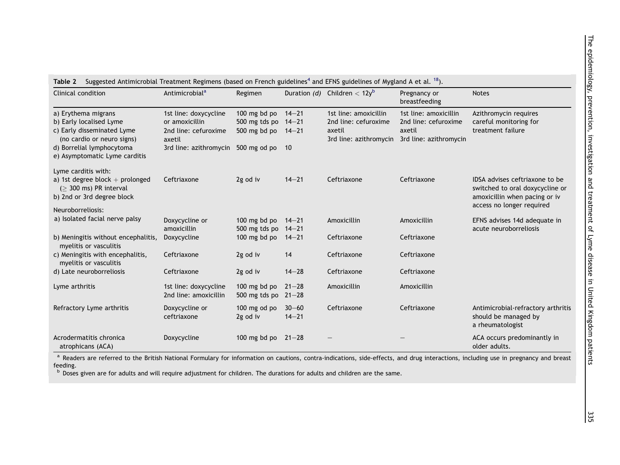<span id="page-6-0"></span>

| Clinical condition                                                                           | Antimicrobial <sup>a</sup>                                      | Regimen                                       |                                     | Duration (d) Children $<$ 12y <sup>b</sup>              | Pregnancy or<br>breastfeeding                           | <b>Notes</b>                                                                                       |
|----------------------------------------------------------------------------------------------|-----------------------------------------------------------------|-----------------------------------------------|-------------------------------------|---------------------------------------------------------|---------------------------------------------------------|----------------------------------------------------------------------------------------------------|
| a) Erythema migrans<br>b) Early localised Lyme<br>c) Early disseminated Lyme                 | 1st line: doxycycline<br>or amoxicillin<br>2nd line: cefuroxime | 100 mg bd po<br>500 mg tds po<br>500 mg bd po | $14 - 21$<br>$14 - 21$<br>$14 - 21$ | 1st line: amoxicillin<br>2nd line: cefuroxime<br>axetil | 1st line: amoxicillin<br>2nd line: cefuroxime<br>axetil | Azithromycin requires<br>careful monitoring for<br>treatment failure                               |
| (no cardio or neuro signs)                                                                   | axetil                                                          |                                               |                                     | 3rd line: azithromycin                                  | 3rd line: azithromycin                                  |                                                                                                    |
| d) Borrelial lymphocytoma<br>e) Asymptomatic Lyme carditis                                   | 3rd line: azithromycin                                          | 500 mg od po                                  | -10                                 |                                                         |                                                         |                                                                                                    |
| Lyme carditis with:                                                                          |                                                                 |                                               |                                     |                                                         |                                                         |                                                                                                    |
| a) 1st degree block $+$ prolonged<br>$($ 2 300 ms) PR interval<br>b) 2nd or 3rd degree block | Ceftriaxone                                                     | 2g od iv                                      | $14 - 21$                           | Ceftriaxone                                             | Ceftriaxone                                             | IDSA advises ceftriaxone to be<br>switched to oral doxycycline or<br>amoxicillin when pacing or iv |
| Neuroborreliosis:                                                                            |                                                                 |                                               |                                     |                                                         |                                                         | access no longer required                                                                          |
| a) Isolated facial nerve palsy                                                               | Doxycycline or<br>amoxicillin                                   | $100$ mg bd po<br>500 mg tds po               | $14 - 21$<br>$14 - 21$              | Amoxicillin                                             | Amoxicillin                                             | EFNS advises 14d adequate in<br>acute neuroborreliosis                                             |
| b) Meningitis without encephalitis,<br>myelitis or vasculitis                                | Doxycycline                                                     | 100 mg bd po                                  | $14 - 21$                           | Ceftriaxone                                             | Ceftriaxone                                             |                                                                                                    |
| c) Meningitis with encephalitis,<br>myelitis or vasculitis                                   | Ceftriaxone                                                     | 2g od iv                                      | 14                                  | Ceftriaxone                                             | Ceftriaxone                                             |                                                                                                    |
| d) Late neuroborreliosis                                                                     | Ceftriaxone                                                     | 2g od iv                                      | $14 - 28$                           | Ceftriaxone                                             | Ceftriaxone                                             |                                                                                                    |
| Lyme arthritis                                                                               | 1st line: doxycycline<br>2nd line: amoxicillin                  | 100 mg bd po<br>500 mg tds po $21 - 28$       | $21 - 28$                           | Amoxicillin                                             | Amoxicillin                                             |                                                                                                    |
| Refractory Lyme arthritis                                                                    | Doxycycline or<br>ceftriaxone                                   | 100 mg od po<br>2g od iv                      | $30 - 60$<br>$14 - 21$              | Ceftriaxone                                             | Ceftriaxone                                             | Antimicrobial-refractory arthritis<br>should be managed by<br>a rheumatologist                     |
| Acrodermatitis chronica<br>atrophicans (ACA)                                                 | Doxycycline                                                     | 100 mg bd po $21 - 28$                        |                                     |                                                         |                                                         | ACA occurs predominantly in<br>older adults.                                                       |

<sup>a</sup> Readers are referred to the British National Formulary for information on cautions, contra-indications, side-effects, and drug interactions, including use in pregnancy and breast feeding.

 $^{\rm b}$  Doses given are for adults and will require adjustment for children. The durations for adults and children are the same.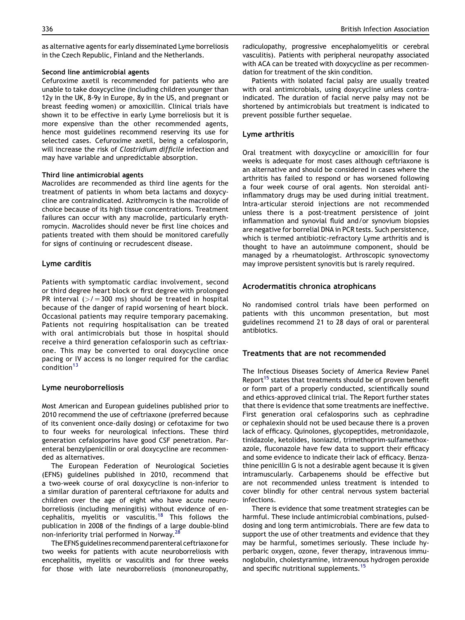as alternative agents for early disseminated Lyme borreliosis in the Czech Republic, Finland and the Netherlands.

#### Second line antimicrobial agents

Cefuroxime axetil is recommended for patients who are unable to take doxycycline (including children younger than 12y in the UK, 8-9y in Europe, 8y in the US, and pregnant or breast feeding women) or amoxicillin. Clinical trials have shown it to be effective in early Lyme borreliosis but it is more expensive than the other recommended agents, hence most guidelines recommend reserving its use for selected cases. Cefuroxime axetil, being a cefalosporin, will increase the risk of Clostridium difficile infection and may have variable and unpredictable absorption.

#### Third line antimicrobial agents

Macrolides are recommended as third line agents for the treatment of patients in whom beta lactams and doxycycline are contraindicated. Azithromycin is the macrolide of choice because of its high tissue concentrations. Treatment failures can occur with any macrolide, particularly erythromycin. Macrolides should never be first line choices and patients treated with them should be monitored carefully for signs of continuing or recrudescent disease.

## Lyme carditis

Patients with symptomatic cardiac involvement, second or third degree heart block or first degree with prolonged PR interval  $(>/=300 \text{ ms})$  should be treated in hospital because of the danger of rapid worsening of heart block. Occasional patients may require temporary pacemaking. Patients not requiring hospitalisation can be treated with oral antimicrobials but those in hospital should receive a third generation cefalosporin such as ceftriaxone. This may be converted to oral doxycycline once pacing or IV access is no longer required for the cardiac  $condition<sup>13</sup>$  $condition<sup>13</sup>$  $condition<sup>13</sup>$ 

#### Lyme neuroborreliosis

Most American and European guidelines published prior to 2010 recommend the use of ceftriaxone (preferred because of its convenient once-daily dosing) or cefotaxime for two to four weeks for neurological infections. These third generation cefalosporins have good CSF penetration. Parenteral benzylpenicillin or oral doxycycline are recommended as alternatives.

The European Federation of Neurological Societies (EFNS) guidelines published in 2010, recommend that a two-week course of oral doxycycline is non-inferior to a similar duration of parenteral ceftriaxone for adults and children over the age of eight who have acute neuroborreliosis (including meningitis) without evidence of en-cephalitis, myelitis or vasculitis.<sup>[18](#page-9-0)</sup> This follows the publication in 2008 of the findings of a large double-blind non-inferiority trial performed in Norway.<sup>[28](#page-9-0)</sup>

The EFNS guidelines recommend parenteral ceftriaxone for two weeks for patients with acute neuroborreliosis with encephalitis, myelitis or vasculitis and for three weeks for those with late neuroborreliosis (mononeuropathy,

radiculopathy, progressive encephalomyelitis or cerebral vasculitis). Patients with peripheral neuropathy associated with ACA can be treated with doxycycline as per recommendation for treatment of the skin condition.

Patients with isolated facial palsy are usually treated with oral antimicrobials, using doxycycline unless contraindicated. The duration of facial nerve palsy may not be shortened by antimicrobials but treatment is indicated to prevent possible further sequelae.

### Lyme arthritis

Oral treatment with doxycycline or amoxicillin for four weeks is adequate for most cases although ceftriaxone is an alternative and should be considered in cases where the arthritis has failed to respond or has worsened following a four week course of oral agents. Non steroidal antiinflammatory drugs may be used during initial treatment. Intra-articular steroid injections are not recommended unless there is a post-treatment persistence of joint inflammation and synovial fluid and/or synovium biopsies are negative for borrelial DNA in PCR tests. Such persistence, which is termed antibiotic-refractory Lyme arthritis and is thought to have an autoimmune component, should be managed by a rheumatologist. Arthroscopic synovectomy may improve persistent synovitis but is rarely required.

## Acrodermatitis chronica atrophicans

No randomised control trials have been performed on patients with this uncommon presentation, but most guidelines recommend 21 to 28 days of oral or parenteral antibiotics.

#### Treatments that are not recommended

The Infectious Diseases Society of America Review Panel Report<sup>[15](#page-9-0)</sup> states that treatments should be of proven benefit or form part of a properly conducted, scientifically sound and ethics-approved clinical trial. The Report further states that there is evidence that some treatments are ineffective. First generation oral cefalosporins such as cephradine or cephalexin should not be used because there is a proven lack of efficacy. Quinolones, glycopeptides, metronidazole, tinidazole, ketolides, isoniazid, trimethoprim-sulfamethoxazole, fluconazole have few data to support their efficacy and some evidence to indicate their lack of efficacy. Benzathine penicillin G is not a desirable agent because it is given intramuscularly. Carbapenems should be effective but are not recommended unless treatment is intended to cover blindly for other central nervous system bacterial infections.

There is evidence that some treatment strategies can be harmful. These include antimicrobial combinations, pulseddosing and long term antimicrobials. There are few data to support the use of other treatments and evidence that they may be harmful, sometimes seriously. These include hyperbaric oxygen, ozone, fever therapy, intravenous immunoglobulin, cholestyramine, intravenous hydrogen peroxide and specific nutritional supplements.<sup>[15](#page-9-0)</sup>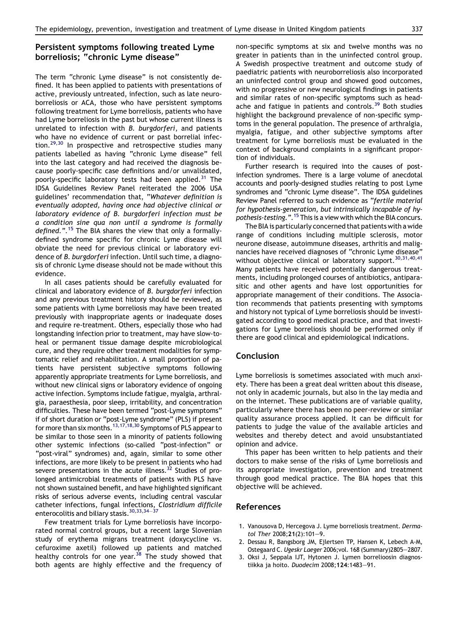# <span id="page-8-0"></span>Persistent symptoms following treated Lyme borreliosis; "chronic Lyme disease"

The term "chronic Lyme disease" is not consistently defined. It has been applied to patients with presentations of active, previously untreated, infection, such as late neuroborreliosis or ACA, those who have persistent symptoms following treatment for Lyme borreliosis, patients who have had Lyme borreliosis in the past but whose current illness is unrelated to infection with B. burgdorferi, and patients who have no evidence of current or past borrelial infec-tion.<sup>[29,30](#page-9-0)</sup> In prospective and retrospective studies many patients labelled as having "chronic Lyme disease" fell into the last category and had received the diagnosis because poorly-specific case definitions and/or unvalidated, poorly-specific laboratory tests had been applied.<sup>[31](#page-9-0)</sup> The IDSA Guidelines Review Panel reiterated the 2006 USA guidelines' recommendation that, "Whatever definition is eventually adopted, having once had objective clinical or laboratory evidence of B. burgdorferi infection must be a condition sine qua non until a syndrome is formally defined.".<sup>[15](#page-9-0)</sup> The BIA shares the view that only a formallydefined syndrome specific for chronic Lyme disease will obviate the need for previous clinical or laboratory evidence of B. burgdorferi infection. Until such time, a diagnosis of chronic Lyme disease should not be made without this evidence.

In all cases patients should be carefully evaluated for clinical and laboratory evidence of B. burgdorferi infection and any previous treatment history should be reviewed, as some patients with Lyme borreliosis may have been treated previously with inappropriate agents or inadequate doses and require re-treatment. Others, especially those who had longstanding infection prior to treatment, may have slow-toheal or permanent tissue damage despite microbiological cure, and they require other treatment modalities for symptomatic relief and rehabilitation. A small proportion of patients have persistent subjective symptoms following apparently appropriate treatments for Lyme borreliosis, and without new clinical signs or laboratory evidence of ongoing active infection. Symptoms include fatigue, myalgia, arthralgia, paraesthesia, poor sleep, irritability, and concentration difficulties. These have been termed "post-Lyme symptoms" if of short duration or "post-Lyme syndrome" (PLS) if present for more than six months.<sup>13,17,18,30</sup> Symptoms of PLS appear to be similar to those seen in a minority of patients following other systemic infections (so-called "post-infection" or "post-viral" syndromes) and, again, similar to some other infections, are more likely to be present in patients who had severe presentations in the acute illness.<sup>[32](#page-9-0)</sup> Studies of prolonged antimicrobial treatments of patients with PLS have not shown sustained benefit, and have highlighted significant risks of serious adverse events, including central vascular catheter infections, fungal infections, Clostridium difficile enterocolitis and biliary stasis.  $30,33,34-37$  $30,33,34-37$ 

Few treatment trials for Lyme borreliosis have incorporated normal control groups, but a recent large Slovenian study of erythema migrans treatment (doxycycline vs. cefuroxime axetil) followed up patients and matched healthy controls for one year. $38$  The study showed that both agents are highly effective and the frequency of non-specific symptoms at six and twelve months was no greater in patients than in the uninfected control group. A Swedish prospective treatment and outcome study of paediatric patients with neuroborreliosis also incorporated an uninfected control group and showed good outcomes, with no progressive or new neurological findings in patients and similar rates of non-specific symptoms such as head-ache and fatigue in patients and controls.<sup>[39](#page-9-0)</sup> Both studies highlight the background prevalence of non-specific symptoms in the general population. The presence of arthralgia, myalgia, fatigue, and other subjective symptoms after treatment for Lyme borreliosis must be evaluated in the context of background complaints in a significant proportion of individuals.

Further research is required into the causes of postinfection syndromes. There is a large volume of anecdotal accounts and poorly-designed studies relating to post Lyme syndromes and "chronic Lyme disease". The IDSA guidelines Review Panel referred to such evidence as "fertile material for hypothesis-generation, but intrinsically incapable of hy-pothesis-testing.".<sup>[15](#page-9-0)</sup> This is a view with which the BIA concurs.

The BIA is particularly concerned that patients with a wide range of conditions including multiple sclerosis, motor neurone disease, autoimmune diseases, arthritis and malignancies have received diagnoses of "chronic Lyme disease" without objective clinical or laboratory support.<sup>[30,31,40,41](#page-9-0)</sup> Many patients have received potentially dangerous treatments, including prolonged courses of antibiotics, antiparasitic and other agents and have lost opportunities for appropriate management of their conditions. The Association recommends that patients presenting with symptoms and history not typical of Lyme borreliosis should be investigated according to good medical practice, and that investigations for Lyme borreliosis should be performed only if there are good clinical and epidemiological indications.

# Conclusion

Lyme borreliosis is sometimes associated with much anxiety. There has been a great deal written about this disease, not only in academic journals, but also in the lay media and on the internet. These publications are of variable quality, particularly where there has been no peer-review or similar quality assurance process applied. It can be difficult for patients to judge the value of the available articles and websites and thereby detect and avoid unsubstantiated opinion and advice.

This paper has been written to help patients and their doctors to make sense of the risks of Lyme borreliosis and its appropriate investigation, prevention and treatment through good medical practice. The BIA hopes that this objective will be achieved.

#### References

- 1. Vanousova D, Hercegova J. Lyme borreliosis treatment. Dermatol Ther  $2008; 21(2): 101-9$ .
- 2. Dessau R, Bangsborg JM, Ejlertsen TP, Hansen K, Lebech A-M, Ostegaard C. Ugeskr Laeger 2006;vol. 168 (Summary)2805-2807.
- 3. Oksi J, Seppala IJT, Hytonen J. Lymen borrelioosin diagnostiikka ja hoito. Duodecim  $2008; 124:1483 - 91$ .